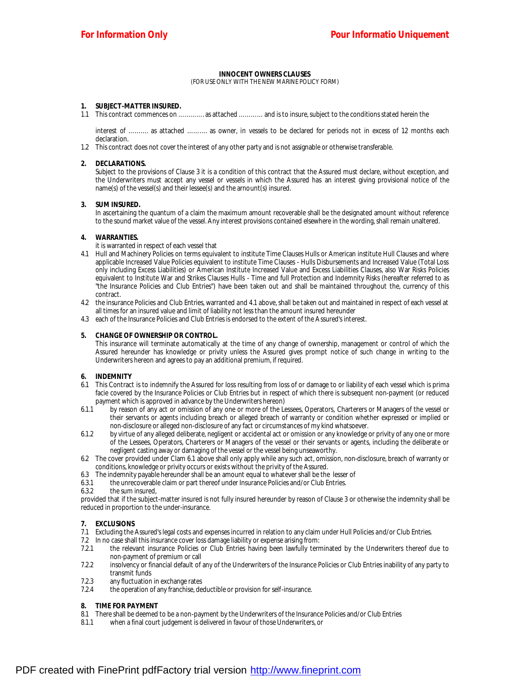#### **INNOCENT OWNERS CLAUSES** (FOR USE ONLY WITH THE NEW MARINE POLICY FORM)

# **1. SUBJECT-MATTER INSURED.**

1.1 This contract commences on …………. as attached ………… and is to insure, subject to the conditions stated herein the

interest of ………. as attached ………. as owner, in vessels to be declared for periods not in excess of 12 months each declaration.

1.2 This contract does not cover the interest of any other party and is not assignable or otherwise transferable.

## **2. DECLARATIONS.**

Subject to the provisions of Clause 3 it is a condition of this contract that the Assured must declare, without exception, and the Underwriters must accept any vessel or vessels in which the Assured has *an* interest giving provisional notice of the name(s) of the vessel(s) and their lessee(s) and the arnount(s) insured.

## **3. SUM INSURED.**

In ascertaining the quantum of a claim the maximum amount recoverable shall be the designated amount without reference to the sound market value of the vessel. Any interest provisions contained elsewhere in *the* wording, shall remain unaltered.

## **4. WARRANTIES.**

it is warranted in respect of each vessel *that*

- 4.1 Hull and Machinery Policies on terms equivalent to institute Time Clauses Hulls or American institute Hull Clauses and where applicable Increased Value Policies equivalent to institute Time Clauses - Hulls Disbursements and Increased Value (Total Loss only including Excess Liabilities) or American Institute Increased Value and Excess Liabilities Clauses, also War Risks Policies equivalent to Institute War and Strikes Clauses Hulls - Time and full Protection and Indemnity Risks (hereafter referred to as "the Insurance Policies and Club Entries") have been taken out and shall be maintained throughout the, currency of this contract.
- 4.2 the insurance Policies and Club Entries, warranted and 4.1 above, shall be taken out and maintained in respect of each vessel at all *times* for an insured value and limit of liability not less than the amount insured hereunder
- 4.3 each of the Insurance Policies and Club Entries is endorsed to the extent of the Assured's interest.

## **5. CHANGE OF OWNERSHIP OR CONTROL.**

This insurance will terminate automatically at the time of any change of ownership, management or control of which the Assured hereunder has knowledge or privity unless the Assured gives prompt notice of such change in writing to the Underwriters hereon and agrees to pay an additional premium, if required.

## **6. INDEMNITY**

- 6.1 This Contract is to indemnify the Assured for loss resulting from loss of or damage to or liability of each vessel which is prima facie covered by the Insurance Policies or Club Entries but in respect of which there is subsequent non-payment (or reduced payment which is approved in advance by the Underwriters hereon)
- 6.1.1 by reason of any act or omission of any one or more of the Lessees, Operators, Charterers or Managers of the vessel or their servants or agents including breach or alleged breach of warranty or condition whether expressed or implied or non-disclosure or alleged non-disclosure of any fact or circumstances of my kind whatsoever.
- 6.1.2 by virtue of any alleged deliberate, negligent or accidental act or omission or any knowledge or privity of any one or more of the Lessees, Operators, Charterers or Managers of the vessel or their servants or agents, including the deliberate or negligent casting away or damaging of the vessel or the vessel being unseaworthy.
- 6.2 The cover provided under Clam 6.1 above shall only apply while any such act, omission, non-disclosure, breach of warranty or conditions, knowledge or privity occurs or exists without the privity of the Assured.
- 6.3 The indemnity payable hereunder shall be an amount equal to whatever shall be the lesser of
- 6.3.1 the unrecoverable claim or part thereof under Insurance Policies and/or Club Entries.<br>6.3.2 the sum insured.
- the sum insured.

provided that if the subject-matter insured is not fully insured hereunder by reason of Clause 3 or otherwise the indemnity shall be reduced in proportion to the under-insurance.

## **7. EXCLUSIONS**

- 7.1 Excluding the Assured's legal costs and expenses incurred in relation to any claim under Hull Policies and/or Club Entries.
- 7.2 In no case shall this insurance cover loss damage liability or expense arising from:
- 7.2.1 the relevant insurance Policies or Club Entries having been lawfully terminated by the Underwriters thereof due to non-payment of premium or call
- 7.2.2 insolvency or financial default of any of the Underwriters of the Insurance Policies or Club Entries inability of any party to transmit funds
- 7.2.3 any fluctuation in exchange rates
- 7.2.4 the operation of any franchise, deductible or provision for self-insurance.

## **8. TIME FOR PAYMENT**

- 8.1 There shall be deemed to be a non-payment by the Underwriters of the Insurance Policies and/or Club Entries
- 8.1.1 when a final court judgement is delivered in favour of those Underwriters, or